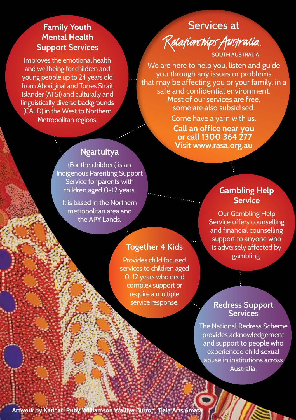#### **Family Youth Mental Health Support Services**

Improves the emotional health and wellbeing for children and young people up to 24 years old from Aboriginal and Torres Strait Islander (ATSI) and culturally and linguistically diverse backgrounds (CALD) in the West to Northern Metropolitan regions.

## Services at Relationships Australia **OUTH AUSTRALIA**

We are here to help you, listen and guide you through any issues or problems that may be affecting you or your family, in a safe and confidential environment. Most of our services are free, some are also subsidised.

> Come have a yarn with us. **Call an office near you or call 1300 364 277 Visit www.rasa.org.au**

### **Ngartuitya**

(For the children) is an Indigenous Parenting Support Service for parents with children aged 0-12 years.

It is based in the Northern metropolitan area and the APY Lands.

## **Gambling Help Service**

Our Gambling Help Service offers counselling and financial counselling support to anyone who is adversely affected by gambling.

# **Together 4 Kids**

Provides child focused services to children aged 0-12 years who need complex support or require a multiple service response.

#### **Redress Support Services**

The National Redress Scheme provides acknowledgement and support to people who experienced child sexual abuse in institutions across **Australia**